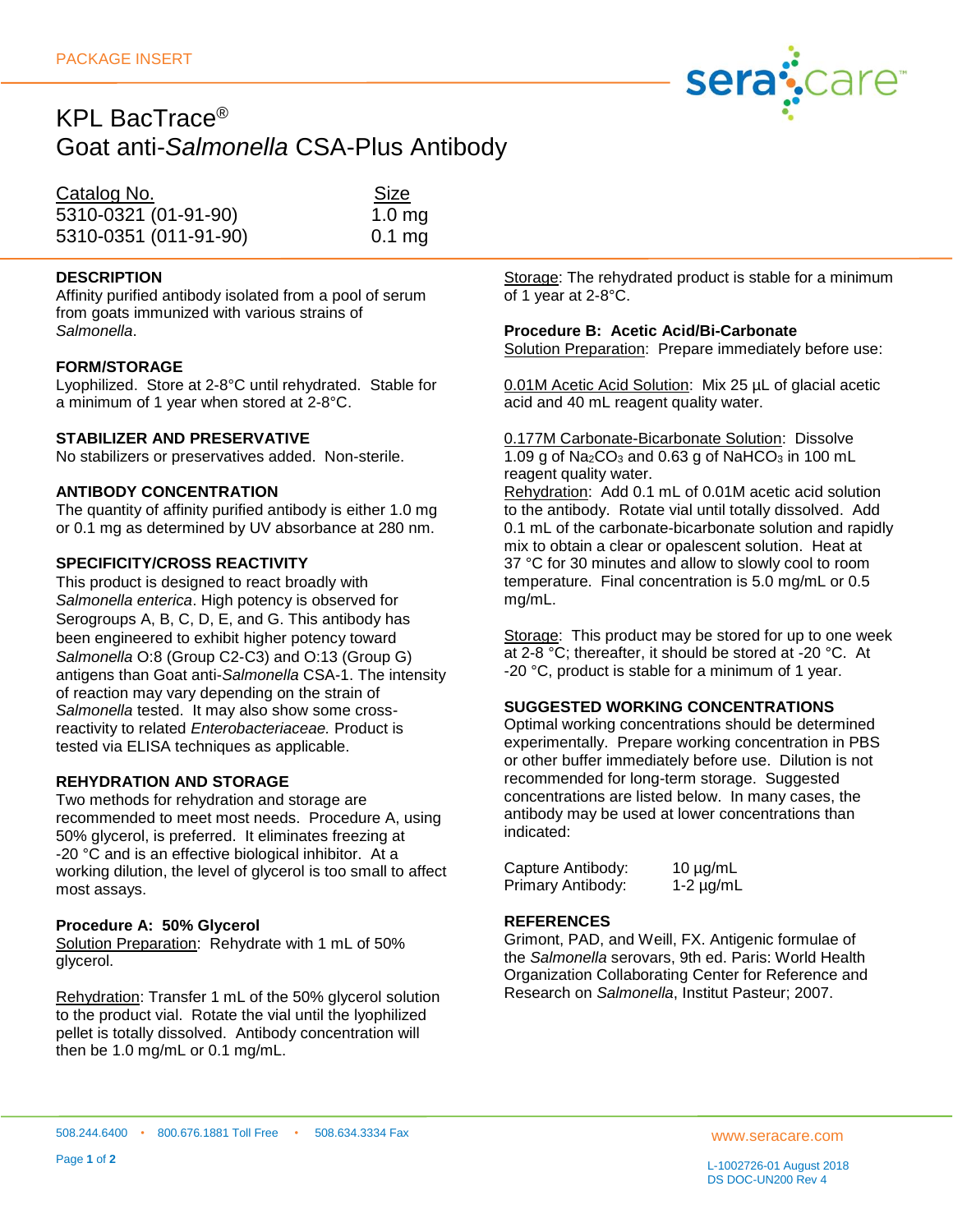

## KPL BacTrace® Goat anti-*Salmonella* CSA-Plus Antibody

| Catalog No.           | <b>Size</b>       |
|-----------------------|-------------------|
| 5310-0321 (01-91-90)  | 1.0 <sub>mg</sub> |
| 5310-0351 (011-91-90) | $0.1$ mg          |

## **DESCRIPTION**

Affinity purified antibody isolated from a pool of serum from goats immunized with various strains of *Salmonella*.

## **FORM/STORAGE**

Lyophilized. Store at 2-8°C until rehydrated. Stable for a minimum of 1 year when stored at 2-8°C.

#### **STABILIZER AND PRESERVATIVE**

No stabilizers or preservatives added. Non-sterile.

#### **ANTIBODY CONCENTRATION**

The quantity of affinity purified antibody is either 1.0 mg or 0.1 mg as determined by UV absorbance at 280 nm.

## **SPECIFICITY/CROSS REACTIVITY**

This product is designed to react broadly with *Salmonella enterica*. High potency is observed for Serogroups A, B, C, D, E, and G. This antibody has been engineered to exhibit higher potency toward *Salmonella* O:8 (Group C2-C3) and O:13 (Group G) antigens than Goat anti-*Salmonella* CSA-1. The intensity of reaction may vary depending on the strain of *Salmonella* tested. It may also show some crossreactivity to related *Enterobacteriaceae.* Product is tested via ELISA techniques as applicable.

## **REHYDRATION AND STORAGE**

Two methods for rehydration and storage are recommended to meet most needs. Procedure A, using 50% glycerol, is preferred. It eliminates freezing at -20 °C and is an effective biological inhibitor. At a working dilution, the level of glycerol is too small to affect most assays.

#### **Procedure A: 50% Glycerol**

Solution Preparation: Rehydrate with 1 mL of 50% glycerol.

Rehydration: Transfer 1 mL of the 50% glycerol solution to the product vial. Rotate the vial until the lyophilized pellet is totally dissolved. Antibody concentration will then be 1.0 mg/mL or 0.1 mg/mL.

Storage: The rehydrated product is stable for a minimum of 1 year at 2-8°C.

#### **Procedure B: Acetic Acid/Bi-Carbonate**

Solution Preparation: Prepare immediately before use:

0.01M Acetic Acid Solution: Mix 25 µL of glacial acetic acid and 40 mL reagent quality water.

0.177M Carbonate-Bicarbonate Solution: Dissolve 1.09 g of  $Na<sub>2</sub>CO<sub>3</sub>$  and 0.63 g of NaHCO<sub>3</sub> in 100 mL reagent quality water.

Rehydration: Add 0.1 mL of 0.01M acetic acid solution to the antibody. Rotate vial until totally dissolved. Add 0.1 mL of the carbonate-bicarbonate solution and rapidly mix to obtain a clear or opalescent solution. Heat at 37 °C for 30 minutes and allow to slowly cool to room temperature. Final concentration is 5.0 mg/mL or 0.5 mg/mL.

Storage: This product may be stored for up to one week at 2-8 °C; thereafter, it should be stored at -20 °C. At -20 °C, product is stable for a minimum of 1 year.

## **SUGGESTED WORKING CONCENTRATIONS**

Optimal working concentrations should be determined experimentally. Prepare working concentration in PBS or other buffer immediately before use. Dilution is not recommended for long-term storage. Suggested concentrations are listed below. In many cases, the antibody may be used at lower concentrations than indicated:

| Capture Antibody: | $10 \mu g/mL$ |
|-------------------|---------------|
| Primary Antibody: | $1-2$ µg/mL   |

#### **REFERENCES**

Grimont, PAD, and Weill, FX. Antigenic formulae of the *Salmonella* serovars, 9th ed. Paris: World Health Organization Collaborating Center for Reference and Research on *Salmonella*, Institut Pasteur; 2007.